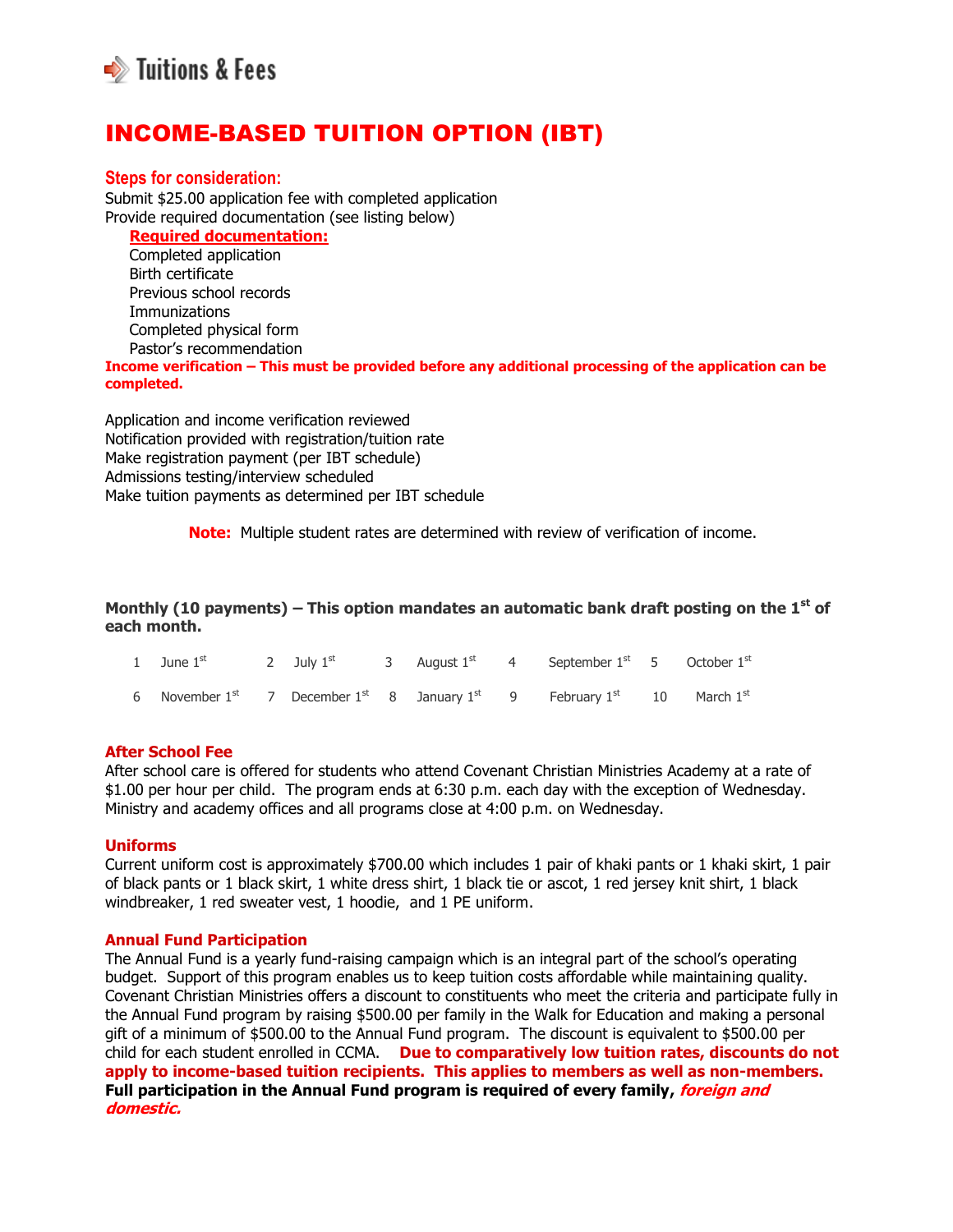

# INCOME-BASED TUITION OPTION (IBT)

## **Steps for consideration:**

Submit \$25.00 application fee with completed application Provide required documentation (see listing below)

**Required documentation:**

 Completed application Birth certificate Previous school records **Immunizations**  Completed physical form Pastor's recommendation

**Income verification – This must be provided before any additional processing of the application can be completed.**

Application and income verification reviewed Notification provided with registration/tuition rate Make registration payment (per IBT schedule) Admissions testing/interview scheduled Make tuition payments as determined per IBT schedule

**Note:** Multiple student rates are determined with review of verification of income.

**Monthly (10 payments) – This option mandates an automatic bank draft posting on the 1st of each month.**

| 1 June $1^{st}$ 2 July $1^{st}$ 3 August $1^{st}$ 4 September $1^{st}$ 5 October $1^{st}$                                           |  |  |  |  |
|-------------------------------------------------------------------------------------------------------------------------------------|--|--|--|--|
| 6 November 1 <sup>st</sup> 7 December 1 <sup>st</sup> 8 January 1 <sup>st</sup> 9 February 1 <sup>st</sup> 10 March 1 <sup>st</sup> |  |  |  |  |

## **After School Fee**

After school care is offered for students who attend Covenant Christian Ministries Academy at a rate of \$1.00 per hour per child. The program ends at 6:30 p.m. each day with the exception of Wednesday. Ministry and academy offices and all programs close at 4:00 p.m. on Wednesday.

## **Uniforms**

Current uniform cost is approximately \$700.00 which includes 1 pair of khaki pants or 1 khaki skirt, 1 pair of black pants or 1 black skirt, 1 white dress shirt, 1 black tie or ascot, 1 red jersey knit shirt, 1 black windbreaker, 1 red sweater vest, 1 hoodie, and 1 PE uniform.

#### **Annual Fund Participation**

The Annual Fund is a yearly fund-raising campaign which is an integral part of the school's operating budget. Support of this program enables us to keep tuition costs affordable while maintaining quality. Covenant Christian Ministries offers a discount to constituents who meet the criteria and participate fully in the Annual Fund program by raising \$500.00 per family in the Walk for Education and making a personal gift of a minimum of \$500.00 to the Annual Fund program. The discount is equivalent to \$500.00 per child for each student enrolled in CCMA. **Due to comparatively low tuition rates, discounts do not apply to income-based tuition recipients. This applies to members as well as non-members. Full participation in the Annual Fund program is required of every family, foreign and domestic.**